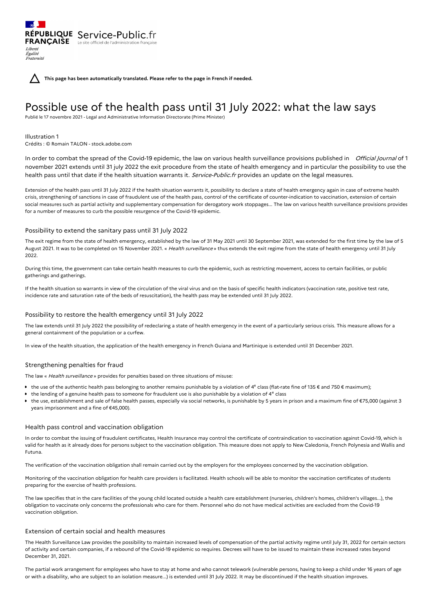**This page has been automatically translated. Please refer to the page in French if needed.**

# Possible use of the health pass until 31 July 2022: what the law says

Publié le 17 novembre 2021 - Legal and Administrative Information Directorate (Prime Minister)

## Illustration 1

Liberté Égalité Fraternité

Crédits : © Romain TALON - stock.adobe.com

RÉPUBLIQUE Service-Public.fr **FRANÇAISE** Le site officiel de l'administration fran

In order to combat the spread of the Covid-19 epidemic, the law on various health surveillance provisions published in Official Journal of 1 november 2021 extends until 31 july 2022 the exit procedure from the state of health emergency and in particular the possibility to use the health pass until that date if the health situation warrants it. Service-Public.fr provides an update on the legal measures.

Extension of the health pass until 31 July 2022 if the health situation warrants it, possibility to declare a state of health emergency again in case of extreme health crisis, strengthening of sanctions in case of fraudulent use of the health pass, control of the certificate of counter-indication to vaccination, extension of certain social measures such as partial activity and supplementary compensation for derogatory work stoppages... The law on various health surveillance provisions provides for a number of measures to curb the possible resurgence of the Covid-19 epidemic.

## Possibility to extend the sanitary pass until 31 July 2022

The exit regime from the state of health emergency, established by the law of 31 May 2021 until 30 September 2021, was extended for the first time by the law of 5 August 2021. It was to be completed on 15 November 2021. « Health surveillance » thus extends the exit regime from the state of health emergency until 31 July 2022.

During this time, the government can take certain health measures to curb the epidemic, such as restricting movement, access to certain facilities, or public gatherings and gatherings.

If the health situation so warrants in view of the circulation of the viral virus and on the basis of specific health indicators (vaccination rate, positive test rate, incidence rate and saturation rate of the beds of resuscitation), the health pass may be extended until 31 July 2022.

# Possibility to restore the health emergency until 31 July 2022

The law extends until 31 July 2022 the possibility of redeclaring a state of health emergency in the event of a particularly serious crisis. This measure allows for a general containment of the population or a curfew.

In view of the health situation, the application of the health emergency in French Guiana and Martinique is extended until 31 December 2021.

# Strengthening penalties for fraud

The law « Health surveillance » provides for penalties based on three situations of misuse:

- the use of the authentic health pass belonging to another remains punishable by a violation of 4<sup>e</sup> class (flat-rate fine of 135 € and 750 € maximum);
- the lending of a genuine health pass to someone for fraudulent use is also punishable by a violation of  $4^e$  class
- the use, establishment and sale of false health passes, especially via social networks, is punishable by 5 years in prison and a maximum fine of €75,000 (against 3 years imprisonment and a fine of €45,000).

## Health pass control and vaccination obligation

In order to combat the issuing of fraudulent certificates, Health Insurance may control the certificate of contraindication to vaccination against Covid-19, which is valid for health as it already does for persons subject to the vaccination obligation. This measure does not apply to New Caledonia, French Polynesia and Wallis and Futuna.

The verification of the vaccination obligation shall remain carried out by the employers for the employees concerned by the vaccination obligation.

Monitoring of the vaccination obligation for health care providers is facilitated. Health schools will be able to monitor the vaccination certificates of students preparing for the exercise of health professions.

The law specifies that in the care facilities of the young child located outside a health care establishment (nurseries, children's homes, children's villages...), the obligation to vaccinate only concerns the professionals who care for them. Personnel who do not have medical activities are excluded from the Covid-19 vaccination obligation.

# Extension of certain social and health measures

The Health Surveillance Law provides the possibility to maintain increased levels of compensation of the partial activity regime until July 31, 2022 for certain sectors of activity and certain companies, if a rebound of the Covid-19 epidemic so requires. Decrees will have to be issued to maintain these increased rates beyond December 31, 2021.

The partial work arrangement for employees who have to stay at home and who cannot telework (vulnerable persons, having to keep a child under 16 years of age or with a disability, who are subject to an isolation measure...) is extended until 31 July 2022. It may be discontinued if the health situation improves.